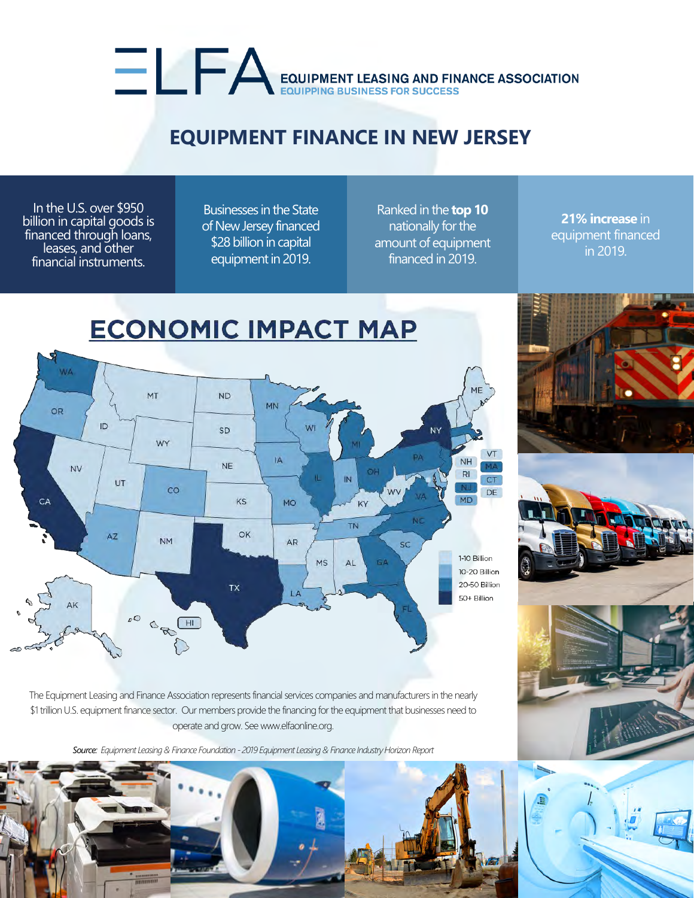# EQUIPMENT LEASING AND FINANCE ASSOCIATION

## **EQUIPMENT FINANCE IN NEW JERSEY**

In the U.S. over \$950 billion in capital goods is financed through loans, leases, and other financial instruments.

Businesses in the State of New Jersey financed \$28 billion in capital equipment in 2019.

Ranked in the **top 10** nationally for the amount of equipment financed in 2019.

**21% increase** in equipment financed in 2019.





The Equipment Leasing and Finance Association represents financial services companies and manufacturers in the nearly \$1 trillion U.S. equipment finance sector. Our members provide the financing for the equipment that businesses need to operate and grow. See www.elfaonline.org.

*Source: Equipment Leasing & Finance Foundation - 2019 Equipment Leasing & Finance Industry Horizon Report*